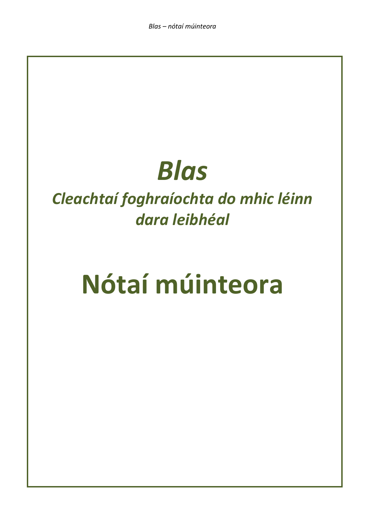## *Blas*

### *Cleachtaí foghraíochta do mhic léinn dara leibhéal*

# **Nótaí múinteora**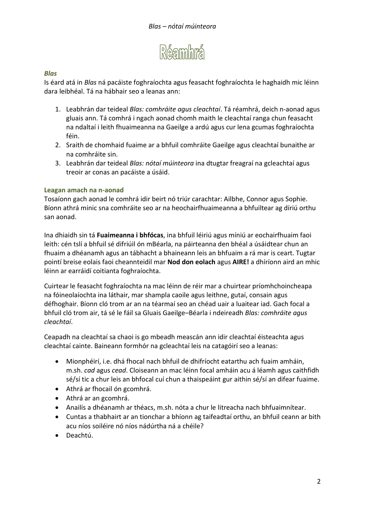

#### *Blas*

Is éard atá in *Blas* ná pacáiste foghraíochta agus feasacht foghraíochta le haghaidh mic léinn dara leibhéal. Tá na hábhair seo a leanas ann:

- 1. Leabhrán dar teideal *Blas: comhráite agus cleachtaí*. Tá réamhrá, deich n-aonad agus gluais ann. Tá comhrá i ngach aonad chomh maith le cleachtaí ranga chun feasacht na ndaltaí i leith fhuaimeanna na Gaeilge a ardú agus cur lena gcumas foghraíochta féin.
- 2. Sraith de chomhaid fuaime ar a bhfuil comhráite Gaeilge agus cleachtaí bunaithe ar na comhráite sin.
- 3. Leabhrán dar teideal *Blas: nótaí múinteora* ina dtugtar freagraí na gcleachtaí agus treoir ar conas an pacáiste a úsáid.

#### **Leagan amach na n-aonad**

Tosaíonn gach aonad le comhrá idir beirt nó triúr carachtar: Ailbhe, Connor agus Sophie. Bíonn athrá minic sna comhráite seo ar na heochairfhuaimeanna a bhfuiltear ag díriú orthu san aonad.

Ina dhiaidh sin tá **Fuaimeanna i bhfócas**, ina bhfuil léiriú agus míniú ar eochairfhuaim faoi leith: cén tslí a bhfuil sé difriúil ón mBéarla, na páirteanna den bhéal a úsáidtear chun an fhuaim a dhéanamh agus an tábhacht a bhaineann leis an bhfuaim a rá mar is ceart. Tugtar pointí breise eolais faoi cheannteidil mar **Nod don eolach** agus **AIRE!** a dhíríonn aird an mhic léinn ar earráidí coitianta foghraíochta.

Cuirtear le feasacht foghraíochta na mac léinn de réir mar a chuirtear príomhchoincheapa na fóineolaíochta ina láthair, mar shampla caoile agus leithne, gutaí, consain agus défhoghair. Bíonn cló trom ar an na téarmaí seo an chéad uair a luaitear iad. Gach focal a bhfuil cló trom air, tá sé le fáil sa Gluais Gaeilge–Béarla i ndeireadh *Blas: comhráite agus cleachtaí*.

Ceapadh na cleachtaí sa chaoi is go mbeadh meascán ann idir cleachtaí éisteachta agus cleachtaí cainte. Baineann formhór na gcleachtaí leis na catagóirí seo a leanas:

- Mionphéirí, i.e. dhá fhocal nach bhfuil de dhifríocht eatarthu ach fuaim amháin, m.sh. *cad* agus *cead*. Cloiseann an mac léinn focal amháin acu á léamh agus caithfidh sé/sí tic a chur leis an bhfocal cuí chun a thaispeáint gur aithin sé/sí an difear fuaime.
- Athrá ar fhocail ón gcomhrá.
- Athrá ar an gcomhrá.
- Anailís a dhéanamh ar théacs, m.sh. nóta a chur le litreacha nach bhfuaimnítear.
- Cuntas a thabhairt ar an tionchar a bhíonn ag taifeadtaí orthu, an bhfuil ceann ar bith acu níos soiléire nó níos nádúrtha ná a chéile?
- Deachtú.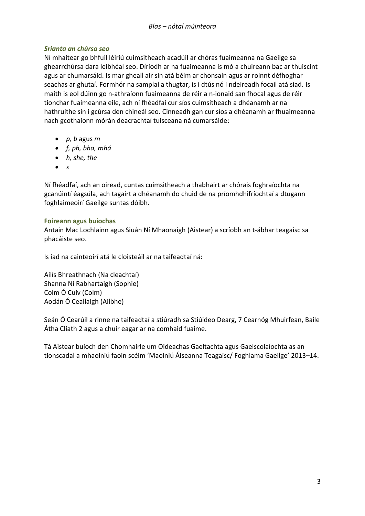#### *Srianta an chúrsa seo*

Ní mhaítear go bhfuil léiriú cuimsitheach acadúil ar chóras fuaimeanna na Gaeilge sa ghearrchúrsa dara leibhéal seo. Díríodh ar na fuaimeanna is mó a chuireann bac ar thuiscint agus ar chumarsáid. Is mar gheall air sin atá béim ar chonsain agus ar roinnt défhoghar seachas ar ghutaí. Formhór na samplaí a thugtar, is i dtús nó i ndeireadh focail atá siad. Is maith is eol dúinn go n-athraíonn fuaimeanna de réir a n-ionaid san fhocal agus de réir tionchar fuaimeanna eile, ach ní fhéadfaí cur síos cuimsitheach a dhéanamh ar na hathruithe sin i gcúrsa den chineál seo. Cinneadh gan cur síos a dhéanamh ar fhuaimeanna nach gcothaíonn mórán deacrachtaí tuisceana ná cumarsáide:

- *p, b* agus *m*
- *f, ph, bha, mhá*
- *h, she, the*
- *s*

Ní fhéadfaí, ach an oiread, cuntas cuimsitheach a thabhairt ar chórais foghraíochta na gcanúintí éagsúla, ach tagairt a dhéanamh do chuid de na príomhdhifríochtaí a dtugann foghlaimeoirí Gaeilge suntas dóibh.

#### **Foireann agus buíochas**

Antain Mac Lochlainn agus Siuán Ní Mhaonaigh (Aistear) a scríobh an t-ábhar teagaisc sa phacáiste seo.

Is iad na cainteoirí atá le cloisteáil ar na taifeadtaí ná:

Ailís Bhreathnach (Na cleachtaí) Shanna Ní Rabhartaigh (Sophie) Colm Ó Cuív (Colm) Aodán Ó Ceallaigh (Ailbhe)

Seán Ó Cearúil a rinne na taifeadtaí a stiúradh sa Stiúideo Dearg, 7 Cearnóg Mhuirfean, Baile Átha Cliath 2 agus a chuir eagar ar na comhaid fuaime.

Tá Aistear buíoch den Chomhairle um Oideachas Gaeltachta agus Gaelscolaíochta as an tionscadal a mhaoiniú faoin scéim 'Maoiniú Áiseanna Teagaisc/ Foghlama Gaeilge' 2013–14.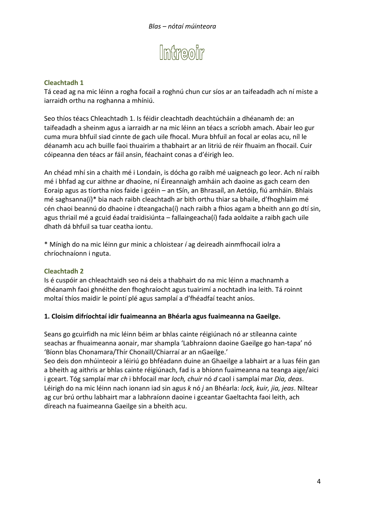

Tá cead ag na mic léinn a rogha focail a roghnú chun cur síos ar an taifeadadh ach ní miste a iarraidh orthu na roghanna a mhíniú.

Seo thíos téacs Chleachtadh 1. Is féidir cleachtadh deachtúcháin a dhéanamh de: an taifeadadh a sheinm agus a iarraidh ar na mic léinn an téacs a scríobh amach. Abair leo gur cuma mura bhfuil siad cinnte de gach uile fhocal. Mura bhfuil an focal ar eolas acu, níl le déanamh acu ach buille faoi thuairim a thabhairt ar an litriú de réir fhuaim an fhocail. Cuir cóipeanna den téacs ar fáil ansin, féachaint conas a d'éirigh leo.

An chéad mhí sin a chaith mé i Londain, is dócha go raibh mé uaigneach go leor. Ach ní raibh mé i bhfad ag cur aithne ar dhaoine, ní Éireannaigh amháin ach daoine as gach cearn den Eoraip agus as tíortha níos faide i gcéin – an tSín, an Bhrasaíl, an Aetóip, fiú amháin. Bhlais mé saghsanna(í)\* bia nach raibh cleachtadh ar bith orthu thiar sa bhaile, d'fhoghlaim mé cén chaoi beannú do dhaoine i dteangacha(í) nach raibh a fhios agam a bheith ann go dtí sin, agus thriail mé a gcuid éadaí traidisiúnta – fallaingeacha(í) fada aoldaite a raibh gach uile dhath dá bhfuil sa tuar ceatha iontu.

\* Mínigh do na mic léinn gur minic a chloistear *í* ag deireadh ainmfhocail iolra a chríochnaíonn i nguta.

#### **Cleachtadh 2**

Is é cuspóir an chleachtaidh seo ná deis a thabhairt do na mic léinn a machnamh a dhéanamh faoi ghnéithe den fhoghraíocht agus tuairimí a nochtadh ina leith. Tá roinnt moltaí thíos maidir le pointí plé agus samplaí a d'fhéadfaí teacht aníos.

#### **1. Cloisim difríochtaí idir fuaimeanna an Bhéarla agus fuaimeanna na Gaeilge.**

Seans go gcuirfidh na mic léinn béim ar bhlas cainte réigiúnach nó ar stíleanna cainte seachas ar fhuaimeanna aonair, mar shampla 'Labhraíonn daoine Gaeilge go han-tapa' nó 'Bíonn blas Chonamara/Thír Chonaill/Chiarraí ar an nGaeilge.'

Seo deis don mhúinteoir a léiriú go bhféadann duine an Ghaeilge a labhairt ar a luas féin gan a bheith ag aithris ar bhlas cainte réigiúnach, fad is a bhíonn fuaimeanna na teanga aige/aici i gceart. Tóg samplaí mar *ch* i bhfocail mar *loch, chuir* nó *d* caol i samplaí mar *Dia, deas*. Léirigh do na mic léinn nach ionann iad sin agus *k* nó *j* an Bhéarla: *lock, kuir, jia, jeas*. Níltear ag cur brú orthu labhairt mar a labhraíonn daoine i gceantar Gaeltachta faoi leith, ach díreach na fuaimeanna Gaeilge sin a bheith acu.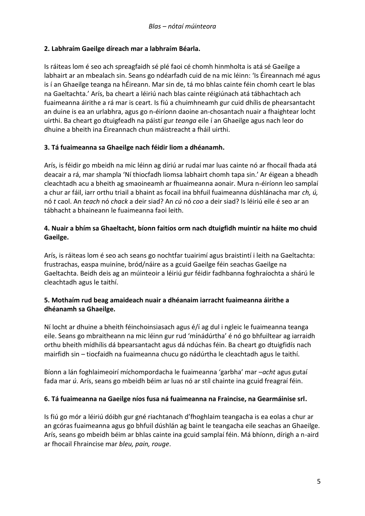#### **2. Labhraím Gaeilge díreach mar a labhraím Béarla.**

Is ráiteas lom é seo ach spreagfaidh sé plé faoi cé chomh hinmholta is atá sé Gaeilge a labhairt ar an mbealach sin. Seans go ndéarfadh cuid de na mic léinn: 'Is Éireannach mé agus is í an Ghaeilge teanga na hÉireann. Mar sin de, tá mo bhlas cainte féin chomh ceart le blas na Gaeltachta.' Arís, ba cheart a léiriú nach blas cainte réigiúnach atá tábhachtach ach fuaimeanna áirithe a rá mar is ceart. Is fiú a chuimhneamh gur cuid dhílis de phearsantacht an duine is ea an urlabhra, agus go n-éiríonn daoine an-chosantach nuair a fhaightear locht uirthi. Ba cheart go dtuigfeadh na páistí gur *teanga* eile í an Ghaeilge agus nach leor do dhuine a bheith ina Éireannach chun máistreacht a fháil uirthi.

#### **3. Tá fuaimeanna sa Ghaeilge nach féidir liom a dhéanamh.**

Arís, is féidir go mbeidh na mic léinn ag díriú ar rudaí mar luas cainte nó ar fhocail fhada atá deacair a rá, mar shampla 'Ní thiocfadh liomsa labhairt chomh tapa sin.' Ar éigean a bheadh cleachtadh acu a bheith ag smaoineamh ar fhuaimeanna aonair. Mura n-éiríonn leo samplaí a chur ar fáil, iarr orthu triail a bhaint as focail ina bhfuil fuaimeanna dúshlánacha mar *ch, ú,* nó *t* caol. An *teach* nó *chack* a deir siad? An *cú* nó *coo* a deir siad? Is léiriú eile é seo ar an tábhacht a bhaineann le fuaimeanna faoi leith.

#### **4. Nuair a bhím sa Ghaeltacht, bíonn faitíos orm nach dtuigfidh muintir na háite mo chuid Gaeilge.**

Arís, is ráiteas lom é seo ach seans go nochtfar tuairimí agus braistintí i leith na Gaeltachta: frustrachas, easpa muiníne, bród/náire as a gcuid Gaeilge féin seachas Gaeilge na Gaeltachta. Beidh deis ag an múinteoir a léiriú gur féidir fadhbanna foghraíochta a shárú le cleachtadh agus le taithí.

#### **5. Mothaím rud beag amaideach nuair a dhéanaim iarracht fuaimeanna áirithe a dhéanamh sa Ghaeilge.**

Ní locht ar dhuine a bheith féinchoinsiasach agus é/í ag dul i ngleic le fuaimeanna teanga eile. Seans go mbraitheann na mic léinn gur rud 'mínádúrtha' é nó go bhfuiltear ag iarraidh orthu bheith mídhílis dá bpearsantacht agus dá ndúchas féin. Ba cheart go dtuigfidís nach mairfidh sin – tiocfaidh na fuaimeanna chucu go nádúrtha le cleachtadh agus le taithí.

Bíonn a lán foghlaimeoirí míchompordacha le fuaimeanna 'garbha' mar –*acht* agus gutaí fada mar *ú*. Arís, seans go mbeidh béim ar luas nó ar stíl chainte ina gcuid freagraí féin.

#### **6. Tá fuaimeanna na Gaeilge níos fusa ná fuaimeanna na Fraincise, na Gearmáinise srl.**

Is fiú go mór a léiriú dóibh gur gné riachtanach d'fhoghlaim teangacha is ea eolas a chur ar an gcóras fuaimeanna agus go bhfuil dúshlán ag baint le teangacha eile seachas an Ghaeilge. Arís, seans go mbeidh béim ar bhlas cainte ina gcuid samplaí féin. Má bhíonn, dírigh a n-aird ar fhocail Fhraincise mar *bleu, pain, rouge*.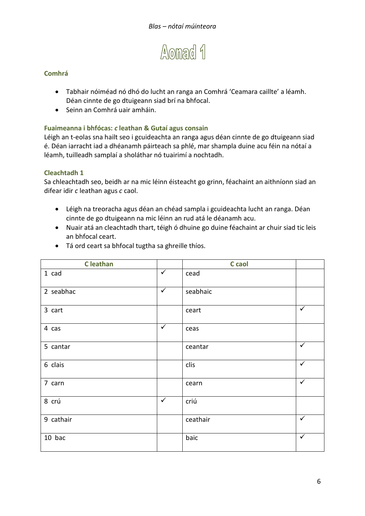

- Tabhair nóiméad nó dhó do lucht an ranga an Comhrá 'Ceamara caillte' a léamh. Déan cinnte de go dtuigeann siad brí na bhfocal.
- Seinn an Comhrá uair amháin.

#### **Fuaimeanna i bhfócas:** *c* **leathan & Gutaí agus consain**

Léigh an t-eolas sna hailt seo i gcuideachta an ranga agus déan cinnte de go dtuigeann siad é. Déan iarracht iad a dhéanamh páirteach sa phlé, mar shampla duine acu féin na nótaí a léamh, tuilleadh samplaí a sholáthar nó tuairimí a nochtadh.

#### **Cleachtadh 1**

Sa chleachtadh seo, beidh ar na mic léinn éisteacht go grinn, féachaint an aithníonn siad an difear idir *c* leathan agus *c* caol.

- Léigh na treoracha agus déan an chéad sampla i gcuideachta lucht an ranga. Déan cinnte de go dtuigeann na mic léinn an rud atá le déanamh acu.
- Nuair atá an cleachtadh thart, téigh ó dhuine go duine féachaint ar chuir siad tic leis an bhfocal ceart.

| <b>C</b> leathan |              | C caol   |              |
|------------------|--------------|----------|--------------|
| $1$ cad          | $\checkmark$ | cead     |              |
| 2 seabhac        | $\checkmark$ | seabhaic |              |
| 3 cart           |              | ceart    | $\checkmark$ |
| 4 cas            | $\checkmark$ | ceas     |              |
| 5 cantar         |              | ceantar  | $\checkmark$ |
| 6 clais          |              | clis     | $\checkmark$ |
| 7 carn           |              | cearn    | $\checkmark$ |
| 8 crú            | $\checkmark$ | criú     |              |
| 9 cathair        |              | ceathair | $\checkmark$ |
| 10 bac           |              | baic     | $\checkmark$ |

Tá ord ceart sa bhfocal tugtha sa ghreille thíos.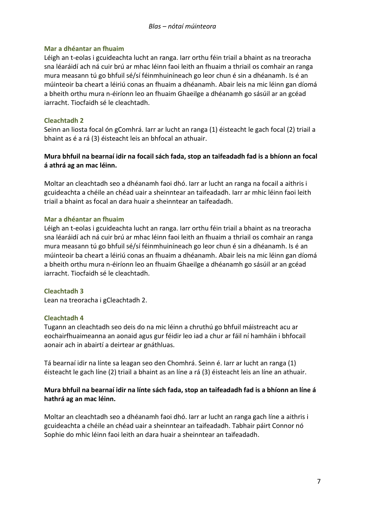#### **Mar a dhéantar an fhuaim**

Léigh an t-eolas i gcuideachta lucht an ranga. Iarr orthu féin triail a bhaint as na treoracha sna léaráidí ach ná cuir brú ar mhac léinn faoi leith an fhuaim a thriail os comhair an ranga mura measann tú go bhfuil sé/sí féinmhuiníneach go leor chun é sin a dhéanamh. Is é an múinteoir ba cheart a léiriú conas an fhuaim a dhéanamh. Abair leis na mic léinn gan díomá a bheith orthu mura n-éiríonn leo an fhuaim Ghaeilge a dhéanamh go sásúil ar an gcéad iarracht. Tiocfaidh sé le cleachtadh.

#### **Cleachtadh 2**

Seinn an liosta focal ón gComhrá. Iarr ar lucht an ranga (1) éisteacht le gach focal (2) triail a bhaint as é a rá (3) éisteacht leis an bhfocal an athuair.

#### **Mura bhfuil na bearnaí idir na focail sách fada, stop an taifeadadh fad is a bhíonn an focal á athrá ag an mac léinn.**

Moltar an cleachtadh seo a dhéanamh faoi dhó. Iarr ar lucht an ranga na focail a aithris i gcuideachta a chéile an chéad uair a sheinntear an taifeadadh. Iarr ar mhic léinn faoi leith triail a bhaint as focal an dara huair a sheinntear an taifeadadh.

#### **Mar a dhéantar an fhuaim**

Léigh an t-eolas i gcuideachta lucht an ranga. Iarr orthu féin triail a bhaint as na treoracha sna léaráidí ach ná cuir brú ar mhac léinn faoi leith an fhuaim a thriail os comhair an ranga mura measann tú go bhfuil sé/sí féinmhuiníneach go leor chun é sin a dhéanamh. Is é an múinteoir ba cheart a léiriú conas an fhuaim a dhéanamh. Abair leis na mic léinn gan díomá a bheith orthu mura n-éiríonn leo an fhuaim Ghaeilge a dhéanamh go sásúil ar an gcéad iarracht. Tiocfaidh sé le cleachtadh.

#### **Cleachtadh 3**

Lean na treoracha i gCleachtadh 2.

#### **Cleachtadh 4**

Tugann an cleachtadh seo deis do na mic léinn a chruthú go bhfuil máistreacht acu ar eochairfhuaimeanna an aonaid agus gur féidir leo iad a chur ar fáil ní hamháin i bhfocail aonair ach in abairtí a deirtear ar gnáthluas.

Tá bearnaí idir na línte sa leagan seo den Chomhrá. Seinn é. Iarr ar lucht an ranga (1) éisteacht le gach líne (2) triail a bhaint as an líne a rá (3) éisteacht leis an líne an athuair.

#### **Mura bhfuil na bearnaí idir na línte sách fada, stop an taifeadadh fad is a bhíonn an líne á hathrá ag an mac léinn.**

Moltar an cleachtadh seo a dhéanamh faoi dhó. Iarr ar lucht an ranga gach líne a aithris i gcuideachta a chéile an chéad uair a sheinntear an taifeadadh. Tabhair páirt Connor nó Sophie do mhic léinn faoi leith an dara huair a sheinntear an taifeadadh.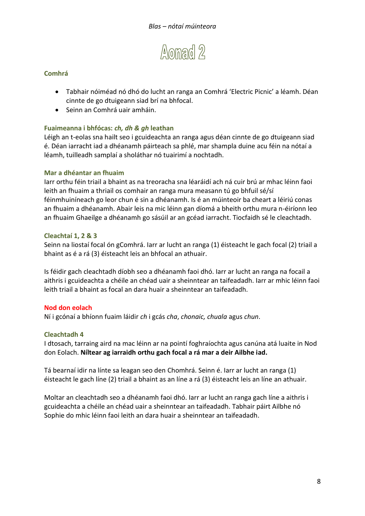

- Tabhair nóiméad nó dhó do lucht an ranga an Comhrá 'Electric Picnic' a léamh. Déan cinnte de go dtuigeann siad brí na bhfocal.
- Seinn an Comhrá uair amháin.

#### **Fuaimeanna i bhfócas:** *ch, dh & gh* **leathan**

Léigh an t-eolas sna hailt seo i gcuideachta an ranga agus déan cinnte de go dtuigeann siad é. Déan iarracht iad a dhéanamh páirteach sa phlé, mar shampla duine acu féin na nótaí a léamh, tuilleadh samplaí a sholáthar nó tuairimí a nochtadh.

#### **Mar a dhéantar an fhuaim**

Iarr orthu féin triail a bhaint as na treoracha sna léaráidí ach ná cuir brú ar mhac léinn faoi leith an fhuaim a thriail os comhair an ranga mura measann tú go bhfuil sé/sí féinmhuiníneach go leor chun é sin a dhéanamh. Is é an múinteoir ba cheart a léiriú conas an fhuaim a dhéanamh. Abair leis na mic léinn gan díomá a bheith orthu mura n-éiríonn leo an fhuaim Ghaeilge a dhéanamh go sásúil ar an gcéad iarracht. Tiocfaidh sé le cleachtadh.

#### **Cleachtaí 1, 2 & 3**

Seinn na liostaí focal ón gComhrá. Iarr ar lucht an ranga (1) éisteacht le gach focal (2) triail a bhaint as é a rá (3) éisteacht leis an bhfocal an athuair.

Is féidir gach cleachtadh díobh seo a dhéanamh faoi dhó. Iarr ar lucht an ranga na focail a aithris i gcuideachta a chéile an chéad uair a sheinntear an taifeadadh. Iarr ar mhic léinn faoi leith triail a bhaint as focal an dara huair a sheinntear an taifeadadh.

#### **Nod don eolach**

Ní i gcónaí a bhíonn fuaim láidir *ch* i gcás *cha*, *chonaic, chuala* agus *chun*.

#### **Cleachtadh 4**

I dtosach, tarraing aird na mac léinn ar na pointí foghraíochta agus canúna atá luaite in Nod don Eolach. **Níltear ag iarraidh orthu gach focal a rá mar a deir Ailbhe iad.**

Tá bearnaí idir na línte sa leagan seo den Chomhrá. Seinn é. Iarr ar lucht an ranga (1) éisteacht le gach líne (2) triail a bhaint as an líne a rá (3) éisteacht leis an líne an athuair.

Moltar an cleachtadh seo a dhéanamh faoi dhó. Iarr ar lucht an ranga gach líne a aithris i gcuideachta a chéile an chéad uair a sheinntear an taifeadadh. Tabhair páirt Ailbhe nó Sophie do mhic léinn faoi leith an dara huair a sheinntear an taifeadadh.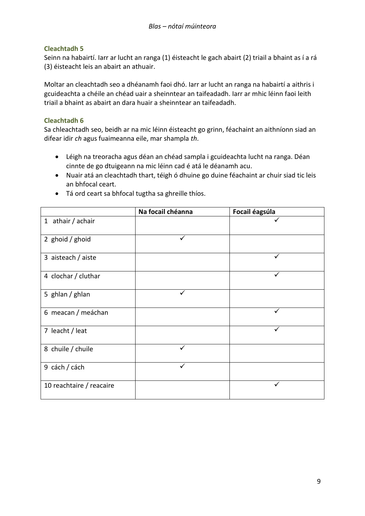Seinn na habairtí. Iarr ar lucht an ranga (1) éisteacht le gach abairt (2) triail a bhaint as í a rá (3) éisteacht leis an abairt an athuair.

Moltar an cleachtadh seo a dhéanamh faoi dhó. Iarr ar lucht an ranga na habairtí a aithris i gcuideachta a chéile an chéad uair a sheinntear an taifeadadh. Iarr ar mhic léinn faoi leith triail a bhaint as abairt an dara huair a sheinntear an taifeadadh.

#### **Cleachtadh 6**

Sa chleachtadh seo, beidh ar na mic léinn éisteacht go grinn, féachaint an aithníonn siad an difear idir *ch* agus fuaimeanna eile, mar shampla *th*.

- Léigh na treoracha agus déan an chéad sampla i gcuideachta lucht na ranga. Déan cinnte de go dtuigeann na mic léinn cad é atá le déanamh acu.
- Nuair atá an cleachtadh thart, téigh ó dhuine go duine féachaint ar chuir siad tic leis an bhfocal ceart.

|                          | Na focail chéanna | Focail éagsúla |
|--------------------------|-------------------|----------------|
| 1 athair / achair        |                   |                |
| 2 ghoid / ghoid          |                   |                |
| 3 aisteach / aiste       |                   |                |
| 4 clochar / cluthar      |                   | ✓              |
| 5 ghlan / ghlan          | ✓                 |                |
| 6 meacan / meáchan       |                   | ✓              |
| 7 leacht / leat          |                   | ✓              |
| 8 chuile / chuile        |                   |                |
| 9 cách / cách            | ✓                 |                |
| 10 reachtaire / reacaire |                   |                |

Tá ord ceart sa bhfocal tugtha sa ghreille thíos.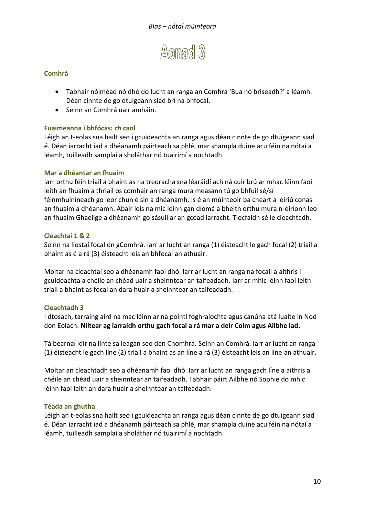

- Tabhair nóiméad nó dhó do lucht an ranga an Comhrá 'Bua nó briseadh?' a léamh. Déan cinnte de go dtuigeann siad brí na bhfocal.
- Seinn an Comhrá uair amháin.

#### **Fuaimeanna i bhfócas:** *ch* **caol**

Léigh an t-eolas sna hailt seo i gcuideachta an ranga agus déan cinnte de go dtuigeann siad é. Déan iarracht iad a dhéanamh páirteach sa phlé, mar shampla duine acu féin na nótaí a léamh, tuilleadh samplaí a sholáthar nó tuairimí a nochtadh.

#### **Mar a dhéantar an fhuaim**

Iarr orthu féin triail a bhaint as na treoracha sna léaráidí ach ná cuir brú ar mhac léinn faoi leith an fhuaim a thriail os comhair an ranga mura measann tú go bhfuil sé/sí féinmhuiníneach go leor chun é sin a dhéanamh. Is é an múinteoir ba cheart a léiriú conas an fhuaim a dhéanamh. Abair leis na mic léinn gan díomá a bheith orthu mura n-éiríonn leo an fhuaim Ghaeilge a dhéanamh go sásúil ar an gcéad iarracht. Tiocfaidh sé le cleachtadh.

#### **Cleachtaí 1 & 2**

Seinn na liostaí focal ón gComhrá. Iarr ar lucht an ranga (1) éisteacht le gach focal (2) triail a bhaint as é a rá (3) éisteacht leis an bhfocal an athuair.

Moltar na cleachtaí seo a dhéanamh faoi dhó. Iarr ar lucht an ranga na focail a aithris i gcuideachta a chéile an chéad uair a sheinntear an taifeadadh. Iarr ar mhic léinn faoi leith triail a bhaint as focal an dara huair a sheinntear an taifeadadh.

#### **Cleachtadh 3**

I dtosach, tarraing aird na mac léinn ar na pointí foghraíochta agus canúna atá luaite in Nod don Eolach. **Níltear ag iarraidh orthu gach focal a rá mar a deir Colm agus Ailbhe iad.**

Tá bearnaí idir na línte sa leagan seo den Chomhrá. Seinn an Comhrá. Iarr ar lucht an ranga (1) éisteacht le gach líne (2) triail a bhaint as an líne a rá (3) éisteacht leis an líne an athuair.

Moltar an cleachtadh seo a dhéanamh faoi dhó. Iarr ar lucht an ranga gach líne a aithris a chéile an chéad uair a sheinntear an taifeadadh. Tabhair páirt Ailbhe nó Sophie do mhic léinn faoi leith an dara huair a sheinntear an taifeadadh.

#### **Téada an ghutha**

Léigh an t-eolas sna hailt seo i gcuideachta an ranga agus déan cinnte de go dtuigeann siad é. Déan iarracht iad a dhéanamh páirteach sa phlé, mar shampla duine acu féin na nótaí a léamh, tuilleadh samplaí a sholáthar nó tuairimí a nochtadh.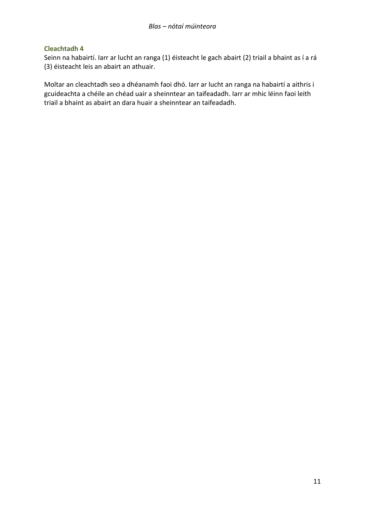Seinn na habairtí. Iarr ar lucht an ranga (1) éisteacht le gach abairt (2) triail a bhaint as í a rá (3) éisteacht leis an abairt an athuair.

Moltar an cleachtadh seo a dhéanamh faoi dhó. Iarr ar lucht an ranga na habairtí a aithris i gcuideachta a chéile an chéad uair a sheinntear an taifeadadh. Iarr ar mhic léinn faoi leith triail a bhaint as abairt an dara huair a sheinntear an taifeadadh.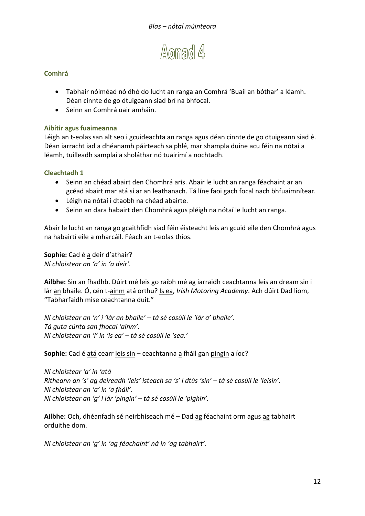

- Tabhair nóiméad nó dhó do lucht an ranga an Comhrá 'Buail an bóthar' a léamh. Déan cinnte de go dtuigeann siad brí na bhfocal.
- Seinn an Comhrá uair amháin.

#### **Aibítir agus fuaimeanna**

Léigh an t-eolas san alt seo i gcuideachta an ranga agus déan cinnte de go dtuigeann siad é. Déan iarracht iad a dhéanamh páirteach sa phlé, mar shampla duine acu féin na nótaí a léamh, tuilleadh samplaí a sholáthar nó tuairimí a nochtadh.

#### **Cleachtadh 1**

- Seinn an chéad abairt den Chomhrá arís. Abair le lucht an ranga féachaint ar an gcéad abairt mar atá sí ar an leathanach. Tá líne faoi gach focal nach bhfuaimnítear.
- Léigh na nótaí i dtaobh na chéad abairte.
- Seinn an dara habairt den Chomhrá agus pléigh na nótaí le lucht an ranga.

Abair le lucht an ranga go gcaithfidh siad féin éisteacht leis an gcuid eile den Chomhrá agus na habairtí eile a mharcáil. Féach an t-eolas thíos.

**Sophie:** Cad é a deir d'athair? *Ní chloistear an 'a' in 'a deir'.*

**Ailbhe:** Sin an fhadhb. Dúirt mé leis go raibh mé ag iarraidh ceachtanna leis an dream sin i lár an bhaile. Ó, cén t-ainm atá orthu? Is ea, *Irish Motoring Academy*. Ach dúirt Dad liom, "Tabharfaidh mise ceachtanna duit."

*Ní chloistear an 'n' i 'lár an bhaile' – tá sé cosúil le 'lár a' bhaile'. Tá guta cúnta san fhocal 'ainm'. Ní chloistear an 'i' in 'is ea' – tá sé cosúil le 'sea.'*

**Sophie:** Cad é atá cearr leis sin – ceachtanna a fháil gan pingin a íoc?

*Ní chloistear 'a' in 'atá Ritheann an 's' ag deireadh 'leis' isteach sa 's' i dtús 'sin' – tá sé cosúil le 'leisin'. Ní chloistear an 'a' in 'a fháil'. Ní chloistear an 'g' i lár 'pingin' – tá sé cosúil le 'pighin'.*

**Ailbhe:** Och, dhéanfadh sé neirbhíseach mé – Dad ag féachaint orm agus ag tabhairt orduithe dom.

*Ní chloistear an 'g' in 'ag féachaint' ná in 'ag tabhairt'.*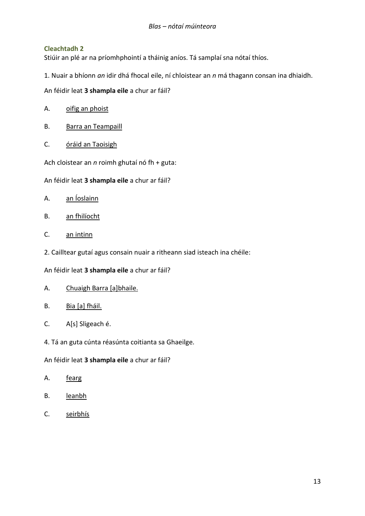Stiúir an plé ar na príomhphointí a tháinig aníos. Tá samplaí sna nótaí thíos.

1. Nuair a bhíonn *an* idir dhá fhocal eile, ní chloistear an *n* má thagann consan ina dhiaidh.

An féidir leat **3 shampla eile** a chur ar fáil?

- A. oifig an phoist
- B. Barra an Teampaill
- C. óráid an Taoisigh

Ach cloistear an *n* roimh ghutaí nó fh + guta:

- An féidir leat **3 shampla eile** a chur ar fáil?
- A. an Íoslainn
- B. an fhilíocht
- C. an intinn
- 2. Cailltear gutaí agus consain nuair a ritheann siad isteach ina chéile:

An féidir leat **3 shampla eile** a chur ar fáil?

- A. Chuaigh Barra [a]bhaile.
- B. Bia [a] fháil.
- C. A[s] Sligeach é.
- 4. Tá an guta cúnta réasúnta coitianta sa Ghaeilge.

An féidir leat **3 shampla eile** a chur ar fáil?

- A. <u>fearg</u>
- B. leanbh
- C. seirbhís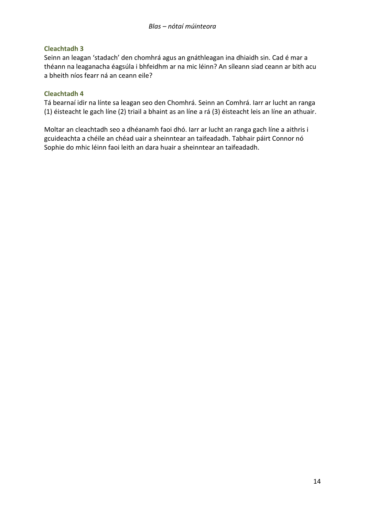Seinn an leagan 'stadach' den chomhrá agus an gnáthleagan ina dhiaidh sin. Cad é mar a théann na leaganacha éagsúla i bhfeidhm ar na mic léinn? An síleann siad ceann ar bith acu a bheith níos fearr ná an ceann eile?

#### **Cleachtadh 4**

Tá bearnaí idir na línte sa leagan seo den Chomhrá. Seinn an Comhrá. Iarr ar lucht an ranga (1) éisteacht le gach líne (2) triail a bhaint as an líne a rá (3) éisteacht leis an líne an athuair.

Moltar an cleachtadh seo a dhéanamh faoi dhó. Iarr ar lucht an ranga gach líne a aithris i gcuideachta a chéile an chéad uair a sheinntear an taifeadadh. Tabhair páirt Connor nó Sophie do mhic léinn faoi leith an dara huair a sheinntear an taifeadadh.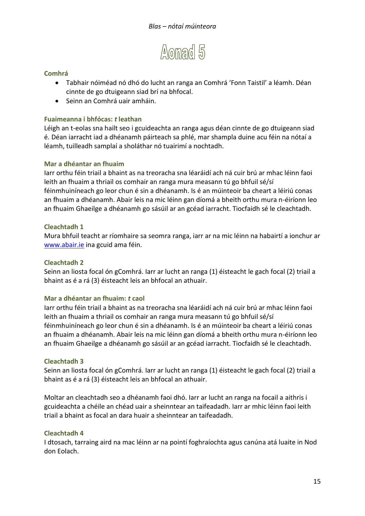

- Tabhair nóiméad nó dhó do lucht an ranga an Comhrá 'Fonn Taistil' a léamh. Déan cinnte de go dtuigeann siad brí na bhfocal.
- Seinn an Comhrá uair amháin.

#### **Fuaimeanna i bhfócas:** *t* **leathan**

Léigh an t-eolas sna hailt seo i gcuideachta an ranga agus déan cinnte de go dtuigeann siad é. Déan iarracht iad a dhéanamh páirteach sa phlé, mar shampla duine acu féin na nótaí a léamh, tuilleadh samplaí a sholáthar nó tuairimí a nochtadh.

#### **Mar a dhéantar an fhuaim**

Iarr orthu féin triail a bhaint as na treoracha sna léaráidí ach ná cuir brú ar mhac léinn faoi leith an fhuaim a thriail os comhair an ranga mura measann tú go bhfuil sé/sí féinmhuiníneach go leor chun é sin a dhéanamh. Is é an múinteoir ba cheart a léiriú conas an fhuaim a dhéanamh. Abair leis na mic léinn gan díomá a bheith orthu mura n-éiríonn leo an fhuaim Ghaeilge a dhéanamh go sásúil ar an gcéad iarracht. Tiocfaidh sé le cleachtadh.

#### **Cleachtadh 1**

Mura bhfuil teacht ar ríomhaire sa seomra ranga, iarr ar na mic léinn na habairtí a ionchur ar [www.abair.ie](http://www.abair.ie/) ina gcuid ama féin.

#### **Cleachtadh 2**

Seinn an liosta focal ón gComhrá. Iarr ar lucht an ranga (1) éisteacht le gach focal (2) triail a bhaint as é a rá (3) éisteacht leis an bhfocal an athuair.

#### **Mar a dhéantar an fhuaim:** *t* **caol**

Iarr orthu féin triail a bhaint as na treoracha sna léaráidí ach ná cuir brú ar mhac léinn faoi leith an fhuaim a thriail os comhair an ranga mura measann tú go bhfuil sé/sí féinmhuiníneach go leor chun é sin a dhéanamh. Is é an múinteoir ba cheart a léiriú conas an fhuaim a dhéanamh. Abair leis na mic léinn gan díomá a bheith orthu mura n-éiríonn leo an fhuaim Ghaeilge a dhéanamh go sásúil ar an gcéad iarracht. Tiocfaidh sé le cleachtadh.

#### **Cleachtadh 3**

Seinn an liosta focal ón gComhrá. Iarr ar lucht an ranga (1) éisteacht le gach focal (2) triail a bhaint as é a rá (3) éisteacht leis an bhfocal an athuair.

Moltar an cleachtadh seo a dhéanamh faoi dhó. Iarr ar lucht an ranga na focail a aithris i gcuideachta a chéile an chéad uair a sheinntear an taifeadadh. Iarr ar mhic léinn faoi leith triail a bhaint as focal an dara huair a sheinntear an taifeadadh.

#### **Cleachtadh 4**

I dtosach, tarraing aird na mac léinn ar na pointí foghraíochta agus canúna atá luaite in Nod don Eolach.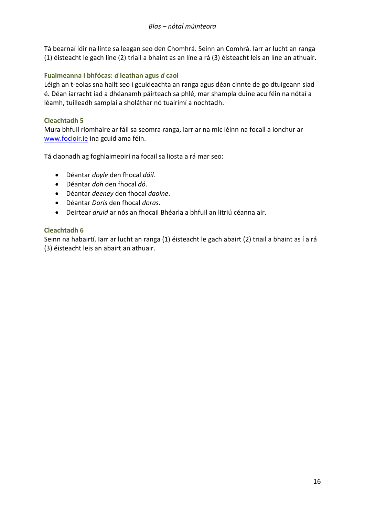Tá bearnaí idir na línte sa leagan seo den Chomhrá. Seinn an Comhrá. Iarr ar lucht an ranga (1) éisteacht le gach líne (2) triail a bhaint as an líne a rá (3) éisteacht leis an líne an athuair.

#### **Fuaimeanna i bhfócas:** *d* **leathan agus** *d* **caol**

Léigh an t-eolas sna hailt seo i gcuideachta an ranga agus déan cinnte de go dtuigeann siad é. Déan iarracht iad a dhéanamh páirteach sa phlé, mar shampla duine acu féin na nótaí a léamh, tuilleadh samplaí a sholáthar nó tuairimí a nochtadh.

#### **Cleachtadh 5**

Mura bhfuil ríomhaire ar fáil sa seomra ranga, iarr ar na mic léinn na focail a ionchur ar [www.focloir.ie](http://www.focloir.ie/) ina gcuid ama féin.

Tá claonadh ag foghlaimeoirí na focail sa liosta a rá mar seo:

- Déantar *doyle* den fhocal *dáil.*
- Déantar *doh* den fhocal *dó*.
- Déantar *deeney* den fhocal *daoine*.
- Déantar *Doris* den fhocal *doras*.
- Deirtear *druid* ar nós an fhocail Bhéarla a bhfuil an litriú céanna air.

#### **Cleachtadh 6**

Seinn na habairtí. Iarr ar lucht an ranga (1) éisteacht le gach abairt (2) triail a bhaint as í a rá (3) éisteacht leis an abairt an athuair.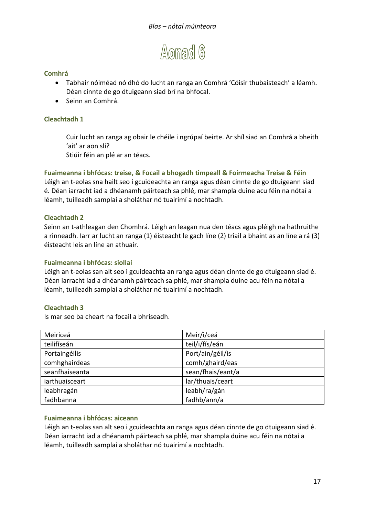

- Tabhair nóiméad nó dhó do lucht an ranga an Comhrá 'Cóisir thubaisteach' a léamh. Déan cinnte de go dtuigeann siad brí na bhfocal.
- Seinn an Comhrá.

#### **Cleachtadh 1**

Cuir lucht an ranga ag obair le chéile i ngrúpaí beirte. Ar shíl siad an Comhrá a bheith 'ait' ar aon slí?

Stiúir féin an plé ar an téacs.

**Fuaimeanna i bhfócas: treise, & Focail a bhogadh timpeall & Foirmeacha Treise & Féin** Léigh an t-eolas sna hailt seo i gcuideachta an ranga agus déan cinnte de go dtuigeann siad é. Déan iarracht iad a dhéanamh páirteach sa phlé, mar shampla duine acu féin na nótaí a léamh, tuilleadh samplaí a sholáthar nó tuairimí a nochtadh.

#### **Cleachtadh 2**

Seinn an t-athleagan den Chomhrá. Léigh an leagan nua den téacs agus pléigh na hathruithe a rinneadh. Iarr ar lucht an ranga (1) éisteacht le gach líne (2) triail a bhaint as an líne a rá (3) éisteacht leis an líne an athuair.

#### **Fuaimeanna i bhfócas: siollaí**

Léigh an t-eolas san alt seo i gcuideachta an ranga agus déan cinnte de go dtuigeann siad é. Déan iarracht iad a dhéanamh páirteach sa phlé, mar shampla duine acu féin na nótaí a léamh, tuilleadh samplaí a sholáthar nó tuairimí a nochtadh.

#### **Cleachtadh 3**

Is mar seo ba cheart na focail a bhriseadh.

| Meiriceá       | Meir/i/ceá        |
|----------------|-------------------|
| teilifíseán    | teil/i/fís/eán    |
| Portaingéilis  | Port/ain/géil/is  |
| comhghairdeas  | comh/ghaird/eas   |
| seanfhaiseanta | sean/fhais/eant/a |
| iarthuaisceart | lar/thuais/ceart  |
| leabhragán     | leabh/ra/gán      |
| fadhbanna      | fadhb/ann/a       |

#### **Fuaimeanna i bhfócas: aiceann**

Léigh an t-eolas san alt seo i gcuideachta an ranga agus déan cinnte de go dtuigeann siad é. Déan iarracht iad a dhéanamh páirteach sa phlé, mar shampla duine acu féin na nótaí a léamh, tuilleadh samplaí a sholáthar nó tuairimí a nochtadh.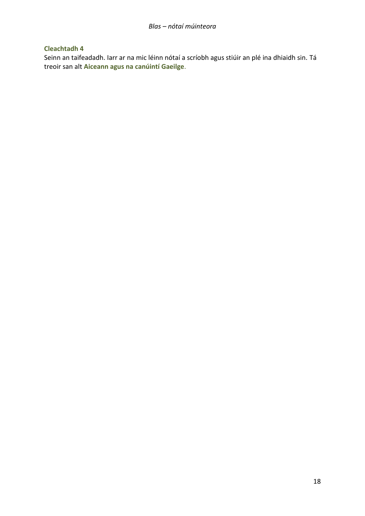Seinn an taifeadadh. Iarr ar na mic léinn nótaí a scríobh agus stiúir an plé ina dhiaidh sin. Tá treoir san alt **Aiceann agus na canúintí Gaeilge**.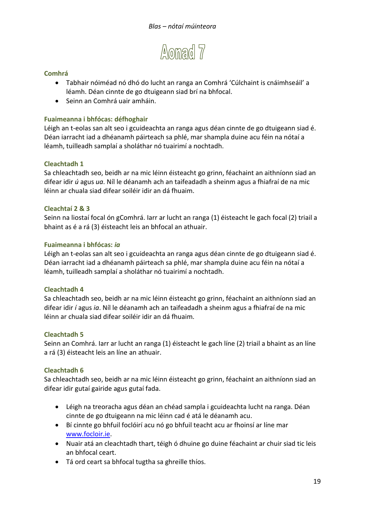

- Tabhair nóiméad nó dhó do lucht an ranga an Comhrá 'Cúlchaint is cnáimhseáil' a léamh. Déan cinnte de go dtuigeann siad brí na bhfocal.
- Seinn an Comhrá uair amháin.

#### **Fuaimeanna i bhfócas: défhoghair**

Léigh an t-eolas san alt seo i gcuideachta an ranga agus déan cinnte de go dtuigeann siad é. Déan iarracht iad a dhéanamh páirteach sa phlé, mar shampla duine acu féin na nótaí a léamh, tuilleadh samplaí a sholáthar nó tuairimí a nochtadh.

#### **Cleachtadh 1**

Sa chleachtadh seo, beidh ar na mic léinn éisteacht go grinn, féachaint an aithníonn siad an difear idir *ú* agus *ua*. Níl le déanamh ach an taifeadadh a sheinm agus a fhiafraí de na mic léinn ar chuala siad difear soiléir idir an dá fhuaim.

#### **Cleachtaí 2 & 3**

Seinn na liostaí focal ón gComhrá. Iarr ar lucht an ranga (1) éisteacht le gach focal (2) triail a bhaint as é a rá (3) éisteacht leis an bhfocal an athuair.

#### **Fuaimeanna i bhfócas:** *ia*

Léigh an t-eolas san alt seo i gcuideachta an ranga agus déan cinnte de go dtuigeann siad é. Déan iarracht iad a dhéanamh páirteach sa phlé, mar shampla duine acu féin na nótaí a léamh, tuilleadh samplaí a sholáthar nó tuairimí a nochtadh.

#### **Cleachtadh 4**

Sa chleachtadh seo, beidh ar na mic léinn éisteacht go grinn, féachaint an aithníonn siad an difear idir *í* agus *ia*. Níl le déanamh ach an taifeadadh a sheinm agus a fhiafraí de na mic léinn ar chuala siad difear soiléir idir an dá fhuaim.

#### **Cleachtadh 5**

Seinn an Comhrá. Iarr ar lucht an ranga (1) éisteacht le gach líne (2) triail a bhaint as an líne a rá (3) éisteacht leis an líne an athuair.

#### **Cleachtadh 6**

Sa chleachtadh seo, beidh ar na mic léinn éisteacht go grinn, féachaint an aithníonn siad an difear idir gutaí gairide agus gutaí fada.

- Léigh na treoracha agus déan an chéad sampla i gcuideachta lucht na ranga. Déan cinnte de go dtuigeann na mic léinn cad é atá le déanamh acu.
- Bí cinnte go bhfuil foclóirí acu nó go bhfuil teacht acu ar fhoinsí ar líne mar [www.focloir.ie.](http://www.focloir.ie/)
- Nuair atá an cleachtadh thart, téigh ó dhuine go duine féachaint ar chuir siad tic leis an bhfocal ceart.
- Tá ord ceart sa bhfocal tugtha sa ghreille thíos.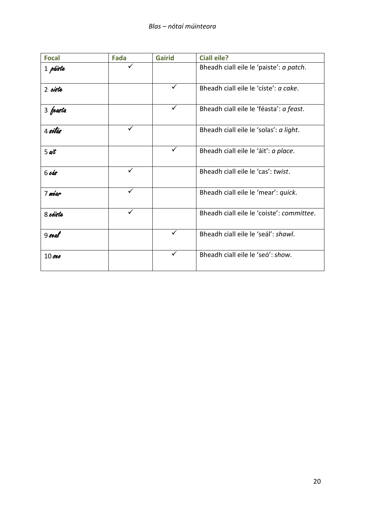| <b>Focal</b>      | Fada         | <b>Gairid</b> | <b>Ciall eile?</b>                        |
|-------------------|--------------|---------------|-------------------------------------------|
| 1 páiste          |              |               | Bheadh ciall eile le 'paiste': a patch.   |
| 2 ciste           |              | ✓             | Bheadh ciall eile le 'císte': a cake.     |
| 3 feasta          |              | ✓             | Bheadh ciall eile le 'féasta': a feast.   |
| 4 sólás           | $\checkmark$ |               | Bheadh ciall eile le 'solas': a light.    |
| $5$ ait           |              |               | Bheadh ciall eile le 'áit': a place.      |
| 6 <sub>cos</sub>  | ✓            |               | Bheadh ciall eile le 'cas': twist.        |
| 7 méar            | $\checkmark$ |               | Bheadh ciall eile le 'mear': quick.       |
| 8 cóiste          | ✓            |               | Bheadh ciall eile le 'coiste': committee. |
| $9$ seal          |              | ✓             | Bheadh ciall eile le 'seál': shawl.       |
| 10 <sub>sec</sub> |              |               | Bheadh ciall eile le 'seó': show.         |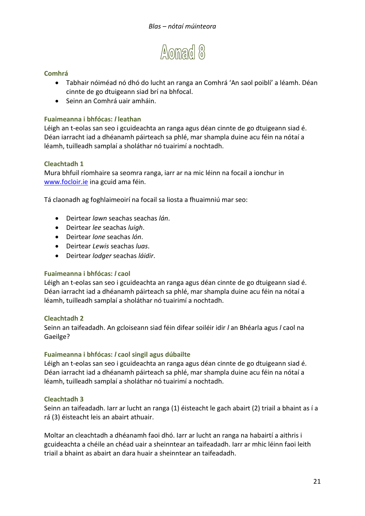

- Tabhair nóiméad nó dhó do lucht an ranga an Comhrá 'An saol poiblí' a léamh. Déan cinnte de go dtuigeann siad brí na bhfocal.
- Seinn an Comhrá uair amháin.

#### **Fuaimeanna i bhfócas:** *l* **leathan**

Léigh an t-eolas san seo i gcuideachta an ranga agus déan cinnte de go dtuigeann siad é. Déan iarracht iad a dhéanamh páirteach sa phlé, mar shampla duine acu féin na nótaí a léamh, tuilleadh samplaí a sholáthar nó tuairimí a nochtadh.

#### **Cleachtadh 1**

Mura bhfuil ríomhaire sa seomra ranga, iarr ar na mic léinn na focail a ionchur in [www.focloir.ie](http://www.focloir.ie/) ina gcuid ama féin.

Tá claonadh ag foghlaimeoirí na focail sa liosta a fhuaimniú mar seo:

- Deirtear *lawn* seachas seachas *lán*.
- Deirtear *lee* seachas *luigh*.
- Deirtear *lone* seachas *lón*.
- Deirtear *Lewis* seachas *luas*.
- Deirtear *lodger* seachas *láidir*.

#### **Fuaimeanna i bhfócas:** *l* **caol**

Léigh an t-eolas san seo i gcuideachta an ranga agus déan cinnte de go dtuigeann siad é. Déan iarracht iad a dhéanamh páirteach sa phlé, mar shampla duine acu féin na nótaí a léamh, tuilleadh samplaí a sholáthar nó tuairimí a nochtadh.

#### **Cleachtadh 2**

Seinn an taifeadadh. An gcloiseann siad féin difear soiléir idir *l* an Bhéarla agus *l* caol na Gaeilge?

#### **Fuaimeanna i bhfócas:** *l* **caol singil agus dúbailte**

Léigh an t-eolas san seo i gcuideachta an ranga agus déan cinnte de go dtuigeann siad é. Déan iarracht iad a dhéanamh páirteach sa phlé, mar shampla duine acu féin na nótaí a léamh, tuilleadh samplaí a sholáthar nó tuairimí a nochtadh.

#### **Cleachtadh 3**

Seinn an taifeadadh. Iarr ar lucht an ranga (1) éisteacht le gach abairt (2) triail a bhaint as í a rá (3) éisteacht leis an abairt athuair.

Moltar an cleachtadh a dhéanamh faoi dhó. Iarr ar lucht an ranga na habairtí a aithris i gcuideachta a chéile an chéad uair a sheinntear an taifeadadh. Iarr ar mhic léinn faoi leith triail a bhaint as abairt an dara huair a sheinntear an taifeadadh.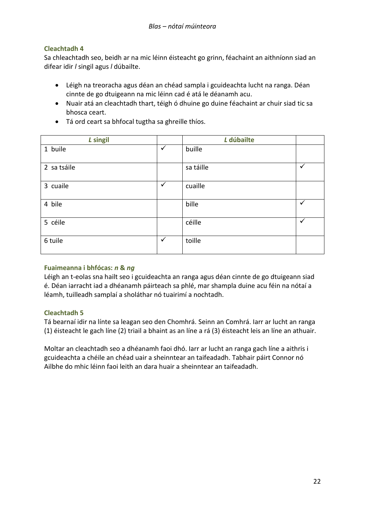Sa chleachtadh seo, beidh ar na mic léinn éisteacht go grinn, féachaint an aithníonn siad an difear idir *l* singil agus *l* dúbailte.

- Léigh na treoracha agus déan an chéad sampla i gcuideachta lucht na ranga. Déan cinnte de go dtuigeann na mic léinn cad é atá le déanamh acu.
- Nuair atá an cleachtadh thart, téigh ó dhuine go duine féachaint ar chuir siad tic sa bhosca ceart.
- Tá ord ceart sa bhfocal tugtha sa ghreille thíos.

| L singil    |              | L dúbailte |   |
|-------------|--------------|------------|---|
| 1 buile     | $\checkmark$ | buille     |   |
| 2 sa tsáile |              | sa táille  | ✓ |
| 3 cuaile    | $\checkmark$ | cuaille    |   |
| 4 bile      |              | bille      | v |
| 5 céile     |              | céille     | ✓ |
| 6 tuile     | $\checkmark$ | toille     |   |

#### **Fuaimeanna i bhfócas:** *n* **&** *ng*

Léigh an t-eolas sna hailt seo i gcuideachta an ranga agus déan cinnte de go dtuigeann siad é. Déan iarracht iad a dhéanamh páirteach sa phlé, mar shampla duine acu féin na nótaí a léamh, tuilleadh samplaí a sholáthar nó tuairimí a nochtadh.

#### **Cleachtadh 5**

Tá bearnaí idir na línte sa leagan seo den Chomhrá. Seinn an Comhrá. Iarr ar lucht an ranga (1) éisteacht le gach líne (2) triail a bhaint as an líne a rá (3) éisteacht leis an líne an athuair.

Moltar an cleachtadh seo a dhéanamh faoi dhó. Iarr ar lucht an ranga gach líne a aithris i gcuideachta a chéile an chéad uair a sheinntear an taifeadadh. Tabhair páirt Connor nó Ailbhe do mhic léinn faoi leith an dara huair a sheinntear an taifeadadh.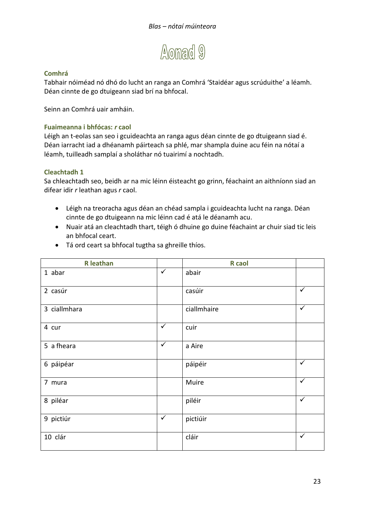

Tabhair nóiméad nó dhó do lucht an ranga an Comhrá 'Staidéar agus scrúduithe' a léamh. Déan cinnte de go dtuigeann siad brí na bhfocal.

Seinn an Comhrá uair amháin.

#### **Fuaimeanna i bhfócas:** *r* **caol**

Léigh an t-eolas san seo i gcuideachta an ranga agus déan cinnte de go dtuigeann siad é. Déan iarracht iad a dhéanamh páirteach sa phlé, mar shampla duine acu féin na nótaí a léamh, tuilleadh samplaí a sholáthar nó tuairimí a nochtadh.

#### **Cleachtadh 1**

Sa chleachtadh seo, beidh ar na mic léinn éisteacht go grinn, féachaint an aithníonn siad an difear idir *r* leathan agus *r* caol.

- Léigh na treoracha agus déan an chéad sampla i gcuideachta lucht na ranga. Déan cinnte de go dtuigeann na mic léinn cad é atá le déanamh acu.
- Nuair atá an cleachtadh thart, téigh ó dhuine go duine féachaint ar chuir siad tic leis an bhfocal ceart.

| <b>R</b> leathan |              | <b>R</b> caol |              |
|------------------|--------------|---------------|--------------|
| 1 abar           | $\checkmark$ | abair         |              |
| 2 casúr          |              | casúir        | $\checkmark$ |
| 3 ciallmhara     |              | ciallmhaire   | $\checkmark$ |
| 4 cur            | $\checkmark$ | cuir          |              |
| 5 a fheara       | $\checkmark$ | a Aire        |              |
| 6 páipéar        |              | páipéir       | $\checkmark$ |
| 7 mura           |              | Muire         | $\checkmark$ |
| 8 piléar         |              | piléir        | $\checkmark$ |
| 9 pictiúr        | $\checkmark$ | pictiúir      |              |
| 10 clár          |              | cláir         | $\checkmark$ |

Tá ord ceart sa bhfocal tugtha sa ghreille thíos.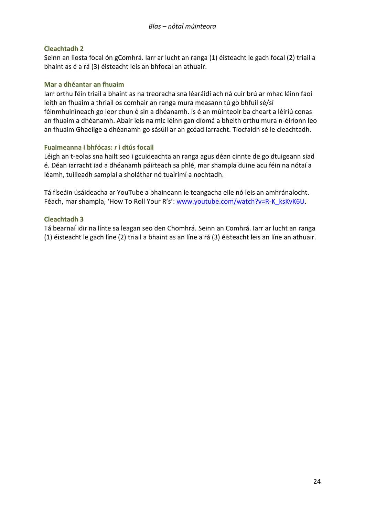Seinn an liosta focal ón gComhrá. Iarr ar lucht an ranga (1) éisteacht le gach focal (2) triail a bhaint as é a rá (3) éisteacht leis an bhfocal an athuair.

#### **Mar a dhéantar an fhuaim**

Iarr orthu féin triail a bhaint as na treoracha sna léaráidí ach ná cuir brú ar mhac léinn faoi leith an fhuaim a thriail os comhair an ranga mura measann tú go bhfuil sé/sí féinmhuiníneach go leor chun é sin a dhéanamh. Is é an múinteoir ba cheart a léiriú conas an fhuaim a dhéanamh. Abair leis na mic léinn gan díomá a bheith orthu mura n-éiríonn leo an fhuaim Ghaeilge a dhéanamh go sásúil ar an gcéad iarracht. Tiocfaidh sé le cleachtadh.

#### **Fuaimeanna i bhfócas:** *r* **i dtús focail**

Léigh an t-eolas sna hailt seo i gcuideachta an ranga agus déan cinnte de go dtuigeann siad é. Déan iarracht iad a dhéanamh páirteach sa phlé, mar shampla duine acu féin na nótaí a léamh, tuilleadh samplaí a sholáthar nó tuairimí a nochtadh.

Tá físeáin úsáideacha ar YouTube a bhaineann le teangacha eile nó leis an amhránaíocht. Féach, mar shampla, 'How To Roll Your R's': [www.youtube.com/watch?v=R-K\\_ksKvK6U.](http://www.youtube.com/watch?v=R-K_ksKvK6U)

#### **Cleachtadh 3**

Tá bearnaí idir na línte sa leagan seo den Chomhrá. Seinn an Comhrá. Iarr ar lucht an ranga (1) éisteacht le gach líne (2) triail a bhaint as an líne a rá (3) éisteacht leis an líne an athuair.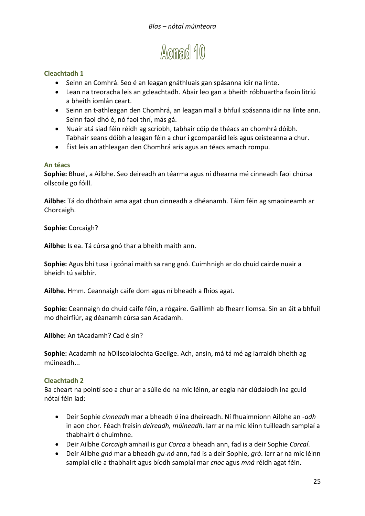

- Seinn an Comhrá. Seo é an leagan gnáthluais gan spásanna idir na línte.
- Lean na treoracha leis an gcleachtadh. Abair leo gan a bheith róbhuartha faoin litriú a bheith iomlán ceart.
- Seinn an t-athleagan den Chomhrá, an leagan mall a bhfuil spásanna idir na línte ann. Seinn faoi dhó é, nó faoi thrí, más gá.
- Nuair atá siad féin réidh ag scríobh, tabhair cóip de théacs an chomhrá dóibh. Tabhair seans dóibh a leagan féin a chur i gcomparáid leis agus ceisteanna a chur.
- Éist leis an athleagan den Chomhrá arís agus an téacs amach rompu.

#### **An téacs**

**Sophie:** Bhuel, a Ailbhe. Seo deireadh an téarma agus ní dhearna mé cinneadh faoi chúrsa ollscoile go fóill.

**Ailbhe:** Tá do dhóthain ama agat chun cinneadh a dhéanamh. Táim féin ag smaoineamh ar Chorcaigh.

**Sophie:** Corcaigh?

**Ailbhe:** Is ea. Tá cúrsa gnó thar a bheith maith ann.

**Sophie:** Agus bhí tusa i gcónaí maith sa rang gnó. Cuimhnigh ar do chuid cairde nuair a bheidh tú saibhir.

**Ailbhe.** Hmm. Ceannaigh caife dom agus ní bheadh a fhios agat.

**Sophie:** Ceannaigh do chuid caife féin, a rógaire. Gaillimh ab fhearr liomsa. Sin an áit a bhfuil mo dheirfiúr, ag déanamh cúrsa san Acadamh.

**Ailbhe:** An tAcadamh? Cad é sin?

**Sophie:** Acadamh na hOllscolaíochta Gaeilge. Ach, ansin, má tá mé ag iarraidh bheith ag múineadh...

#### **Cleachtadh 2**

Ba cheart na pointí seo a chur ar a súile do na mic léinn, ar eagla nár clúdaíodh ina gcuid nótaí féin iad:

- Deir Sophie *cinneadh* mar a bheadh *ú* ina dheireadh. Ní fhuaimníonn Ailbhe an -*adh* in aon chor. Féach freisin *deireadh, múineadh*. Iarr ar na mic léinn tuilleadh samplaí a thabhairt ó chuimhne.
- Deir Ailbhe *Corcaigh* amhail is gur *Corca* a bheadh ann, fad is a deir Sophie *Corcaí*.
- Deir Ailbhe *gnó* mar a bheadh *gu-nó* ann, fad is a deir Sophie, *gró*. Iarr ar na mic léinn samplaí eile a thabhairt agus bíodh samplaí mar *cnoc* agus *mná* réidh agat féin.